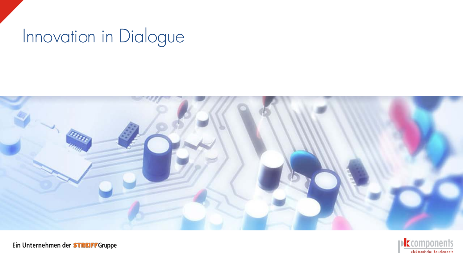# Innovation in Dialogue



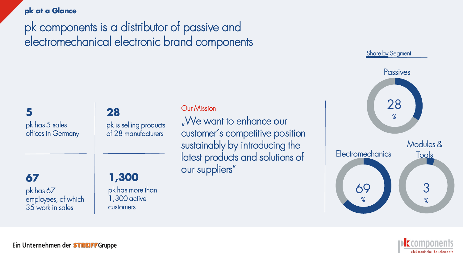#### **pk at a Glance**

pk components is a distributor of passive and electromechanical electronic brand components

**5** pk has 5 sales offices in Germany

### **28** pk is selling products

of 28 manufacturers

### **Our Mission**

"We want to enhance our customer´s competitive position sustainably by introducing the latest products and solutions of our suppliers"

**67** pk has 67 employees, of which 35 work in sales

### **1,300**

pk has more than 1,300 active customers



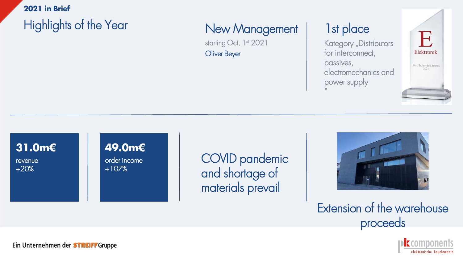### **2021 in Brief**

# Highlights of the Year

## New Management

starting Oct, 1<sup>st</sup> 2021 Oliver Beyer

## 1st place

Kategory "Distributors for interconnect, passives, electromechanics and power supply "



### **31.0m€**

revenue +20%

### **49.0m€** order income +107%

COVID pandemic and shortage of materials prevail



# Extension of the warehouse proceeds

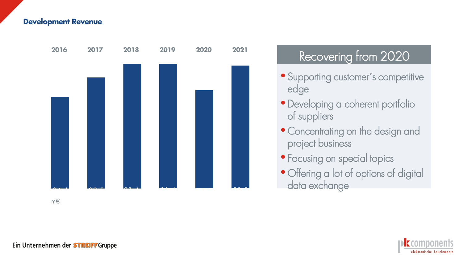#### **Development Revenue**



# Recovering from 2020

- Supporting customer ´s competitive edge
- Developing a coherent portfolio of suppliers
- Concentrating on the design and project business
- Focusing on special topics
- Offering a lot of options of digital data exchange

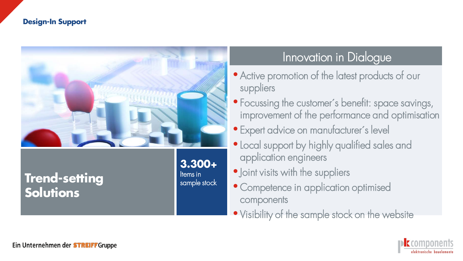#### **Design-In Support**



## **Trend-setting Solutions**

Items in sample stock

### Innovation in Dialogue

- Active promotion of the latest products of our suppliers
- Focussing the customer's benefit: space savings, improvement of the performance and optimisation
- Expert advice on manufacturer´s level
- •Local support by highly qualified sales and application engineers
- Joint visits with the suppliers
- Competence in application optimised components
- Visibility of the sample stock on the website

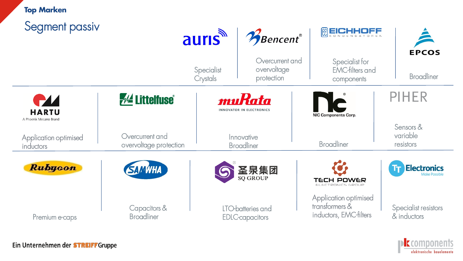| <b>Top Marken</b><br>Segment passiv    |                                           | <b>auris</b>           | Bencent®                                     | <b>MEICHHOFF</b>                                                  | <b>EPCOS</b>                        |
|----------------------------------------|-------------------------------------------|------------------------|----------------------------------------------|-------------------------------------------------------------------|-------------------------------------|
|                                        |                                           | Specialist<br>Crystals | Overcurrent and<br>overvoltage<br>protection | Specialist for<br><b>EMC-filters and</b><br>components            | <b>Broadliner</b>                   |
| <b>HARTU</b><br>A Phoenix Mecano Brand | <b><i>M</i></b> Littelfuse®               |                        | muKata<br><b>INNOVATOR IN ELECTRONICS</b>    | <b>NC</b><br><b>NIC Components Corp.</b>                          | <b>PIHER</b>                        |
| Application optimised<br>inductors     | Overcurrent and<br>overvoltage protection |                        | Innovative<br><b>Broadliner</b>              | <b>Broadliner</b>                                                 | Sensors &<br>variable<br>resistors  |
| <b>Rubycon</b>                         | <b>SAMWHA</b>                             |                        | 圣泉集团                                         | <b>TECH POWER</b><br>ELECTRONICS GROUP                            | <b>Electronics</b>                  |
| Premium e-caps                         | Capacitors &<br><b>Broadliner</b>         |                        | LTO-batteries and<br><b>EDLC-capacitors</b>  | Application optimised<br>transformers &<br>inductors, EMC-filters | Specialist resistors<br>& inductors |

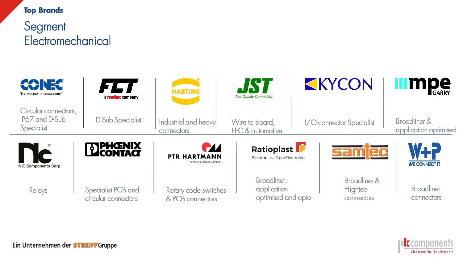#### **Top Brands**

**Segment Electromechanical** 



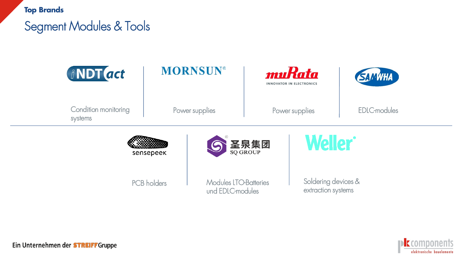**Top Brands**

# Segment Modules & Tools



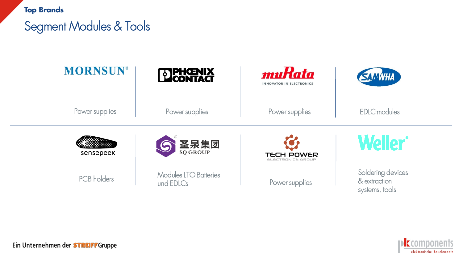**Top Brands**

# Segment Modules & Tools



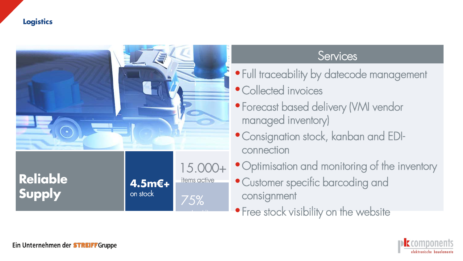### **Logistics**



### **Services**

- Full traceability by datecode management
- Collected invoices
- Forecast based delivery (VMI vendor managed inventory)
- •Consignation stock, kanban and EDIconnection
- Optimisation and monitoring of the inventory
- Customer specific barcoding and consignment
- Free stock visibility on the website

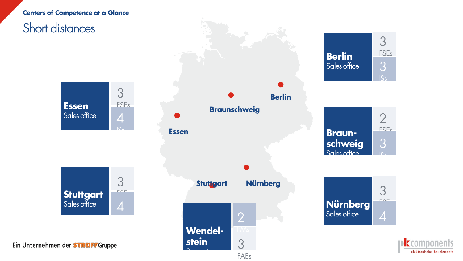#### **Centers of Competence at a Glance**



Support and

FAEs

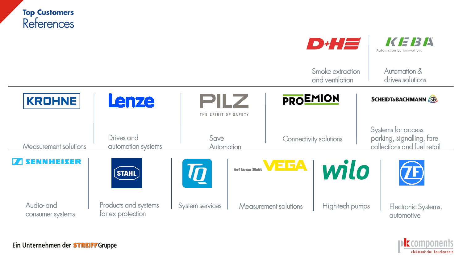